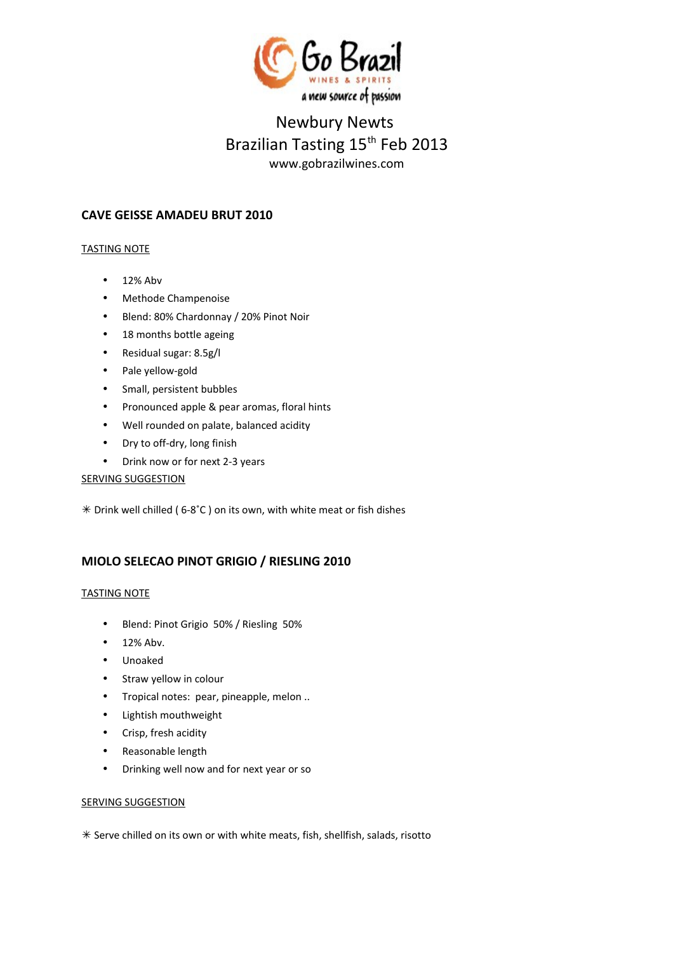

# Newbury Newts Brazilian Tasting 15<sup>th</sup> Feb 2013 www.gobrazilwines.com

# **CAVE GEISSE AMADEU BRUT 2010**

## TASTING NOTE

- 12% Abv
- Methode Champenoise
- Blend: 80% Chardonnay / 20% Pinot Noir
- 18 months bottle ageing
- Residual sugar: 8.5g/l
- Pale yellow-gold
- Small, persistent bubbles
- Pronounced apple & pear aromas, floral hints
- Well rounded on palate, balanced acidity
- Dry to off-dry, long finish
- Drink now or for next 2-3 years

#### SERVING SUGGESTION

Drink well chilled ( 6-8˚C ) on its own, with white meat or fish dishes

# **MIOLO SELECAO PINOT GRIGIO / RIESLING 2010**

## TASTING NOTE

- Blend: Pinot Grigio 50% / Riesling 50%
- 12% Abv.
- Unoaked
- Straw yellow in colour
- Tropical notes: pear, pineapple, melon ..
- Lightish mouthweight
- Crisp, fresh acidity
- Reasonable length
- Drinking well now and for next year or so

#### **SERVING SUGGESTION**

 $*$  Serve chilled on its own or with white meats, fish, shellfish, salads, risotto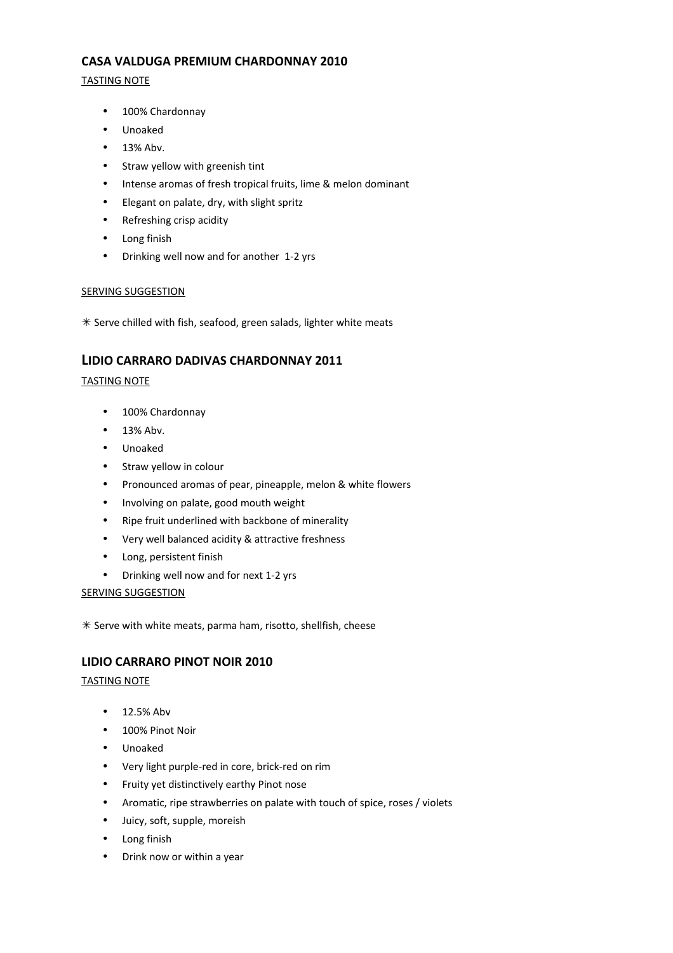## **CASA VALDUGA PREMIUM CHARDONNAY 2010**

## TASTING NOTE

- 100% Chardonnay
- Unoaked
- 13% Abv.
- Straw yellow with greenish tint
- Intense aromas of fresh tropical fruits, lime & melon dominant
- Elegant on palate, dry, with slight spritz
- Refreshing crisp acidity
- Long finish
- Drinking well now and for another 1-2 yrs

## SERVING SUGGESTION

 $*$  Serve chilled with fish, seafood, green salads, lighter white meats

# **LIDIO CARRARO DADIVAS CHARDONNAY 2011**

## TASTING NOTE

- 100% Chardonnay
- 13% Abv.
- Unoaked
- Straw yellow in colour
- Pronounced aromas of pear, pineapple, melon & white flowers
- Involving on palate, good mouth weight
- Ripe fruit underlined with backbone of minerality
- Very well balanced acidity & attractive freshness
- Long, persistent finish
- Drinking well now and for next 1-2 yrs

#### **SERVING SUGGESTION**

 $*$  Serve with white meats, parma ham, risotto, shellfish, cheese

# **LIDIO CARRARO PINOT NOIR 2010**

## TASTING NOTE

- 12.5% Abv
- 100% Pinot Noir
- Unoaked
- Very light purple-red in core, brick-red on rim
- Fruity yet distinctively earthy Pinot nose
- Aromatic, ripe strawberries on palate with touch of spice, roses / violets
- Juicy, soft, supple, moreish
- Long finish
- Drink now or within a year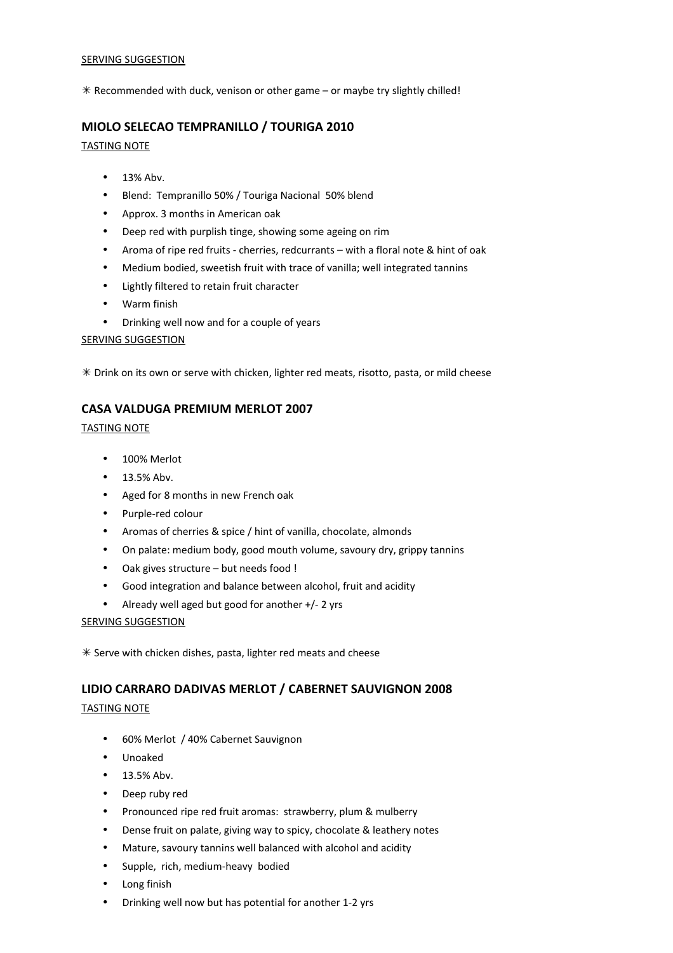#### SERVING SUGGESTION

 $*$  Recommended with duck, venison or other game – or maybe try slightly chilled!

# **MIOLO SELECAO TEMPRANILLO / TOURIGA 2010**

#### TASTING NOTE

- 13% Abv.
- Blend: Tempranillo 50% / Touriga Nacional 50% blend
- Approx. 3 months in American oak
- Deep red with purplish tinge, showing some ageing on rim
- Aroma of ripe red fruits cherries, redcurrants with a floral note & hint of oak
- Medium bodied, sweetish fruit with trace of vanilla; well integrated tannins
- Lightly filtered to retain fruit character
- Warm finish
- Drinking well now and for a couple of years

## SERVING SUGGESTION

 $*$  Drink on its own or serve with chicken, lighter red meats, risotto, pasta, or mild cheese

# **CASA VALDUGA PREMIUM MERLOT 2007**

## TASTING NOTE

- 100% Merlot
- 13.5% Abv.
- Aged for 8 months in new French oak
- Purple-red colour
- Aromas of cherries & spice / hint of vanilla, chocolate, almonds
- On palate: medium body, good mouth volume, savoury dry, grippy tannins
- Oak gives structure but needs food !
- Good integration and balance between alcohol, fruit and acidity
- Already well aged but good for another +/- 2 yrs

## SERVING SUGGESTION

 $*$  Serve with chicken dishes, pasta, lighter red meats and cheese

# **LIDIO CARRARO DADIVAS MERLOT / CABERNET SAUVIGNON 2008**

## TASTING NOTE

- 60% Merlot / 40% Cabernet Sauvignon
- Unoaked
- 13.5% Abv.
- Deep ruby red
- Pronounced ripe red fruit aromas: strawberry, plum & mulberry
- Dense fruit on palate, giving way to spicy, chocolate & leathery notes
- Mature, savoury tannins well balanced with alcohol and acidity
- Supple, rich, medium-heavy bodied
- Long finish
- Drinking well now but has potential for another 1-2 yrs